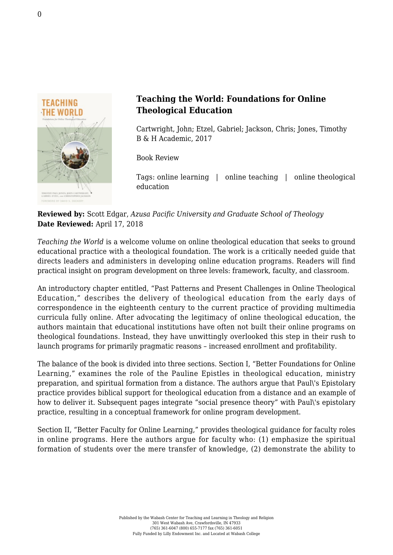

## **Teaching the World: Foundations for Online Theological Education**

Cartwright, John; Etzel, Gabriel; Jackson, Chris; Jones, Timothy [B & H Academic, 2017](http://www.bhacademic.com/product/teaching-the-world/)

Book Review

Tags: online learning | online teaching | online theological education

## **Reviewed by:** Scott Edgar, *Azusa Pacific University and Graduate School of Theology* **Date Reviewed:** April 17, 2018

*Teaching the World* is a welcome volume on online theological education that seeks to ground educational practice with a theological foundation. The work is a critically needed guide that directs leaders and administers in developing online education programs. Readers will find practical insight on program development on three levels: framework, faculty, and classroom.

An introductory chapter entitled, "Past Patterns and Present Challenges in Online Theological Education," describes the delivery of theological education from the early days of correspondence in the eighteenth century to the current practice of providing multimedia curricula fully online. After advocating the legitimacy of online theological education, the authors maintain that educational institutions have often not built their online programs on theological foundations. Instead, they have unwittingly overlooked this step in their rush to launch programs for primarily pragmatic reasons – increased enrollment and profitability.

The balance of the book is divided into three sections. Section I, "Better Foundations for Online Learning," examines the role of the Pauline Epistles in theological education, ministry preparation, and spiritual formation from a distance. The authors argue that Paul\'s Epistolary practice provides biblical support for theological education from a distance and an example of how to deliver it. Subsequent pages integrate "social presence theory" with Paul\'s epistolary practice, resulting in a conceptual framework for online program development.

Section II, "Better Faculty for Online Learning," provides theological guidance for faculty roles in online programs. Here the authors argue for faculty who: (1) emphasize the spiritual formation of students over the mere transfer of knowledge, (2) demonstrate the ability to